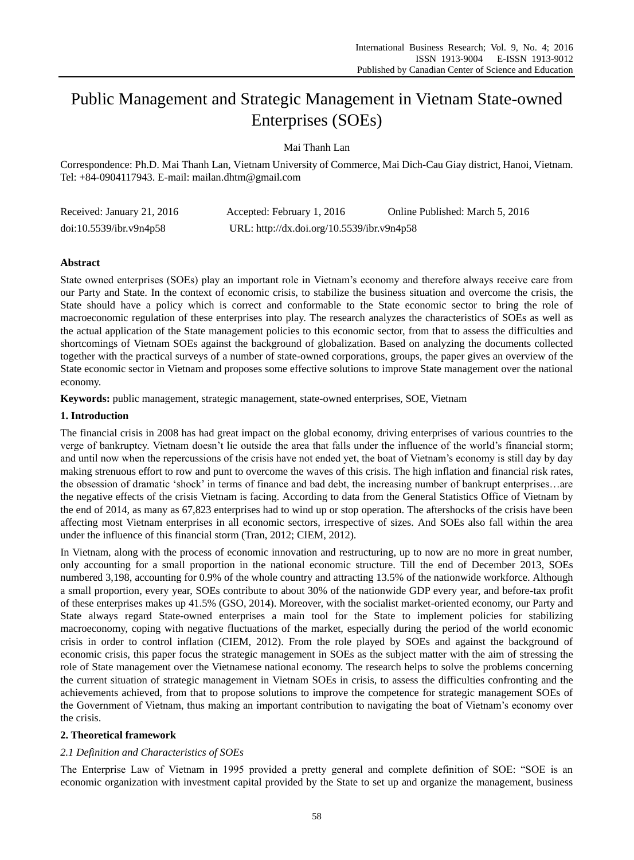# Public Management and Strategic Management in Vietnam State-owned Enterprises (SOEs)

Mai Thanh Lan

Correspondence: Ph.D. Mai Thanh Lan, Vietnam University of Commerce, Mai Dich-Cau Giay district, Hanoi, Vietnam. Tel: +84-0904117943. E-mail: mailan.dhtm@gmail.com

| Received: January 21, 2016 | Accepted: February 1, 2016                 | Online Published: March 5, 2016 |
|----------------------------|--------------------------------------------|---------------------------------|
| doi:10.5539/ibr.v9n4p58    | URL: http://dx.doi.org/10.5539/ibr.v9n4p58 |                                 |

## **Abstract**

State owned enterprises (SOEs) play an important role in Vietnam"s economy and therefore always receive care from our Party and State. In the context of economic crisis, to stabilize the business situation and overcome the crisis, the State should have a policy which is correct and conformable to the State economic sector to bring the role of macroeconomic regulation of these enterprises into play. The research analyzes the characteristics of SOEs as well as the actual application of the State management policies to this economic sector, from that to assess the difficulties and shortcomings of Vietnam SOEs against the background of globalization. Based on analyzing the documents collected together with the practical surveys of a number of state-owned corporations, groups, the paper gives an overview of the State economic sector in Vietnam and proposes some effective solutions to improve State management over the national economy.

**Keywords:** public management, strategic management, state-owned enterprises, SOE, Vietnam

## **1. Introduction**

The financial crisis in 2008 has had great impact on the global economy, driving enterprises of various countries to the verge of bankruptcy. Vietnam doesn"t lie outside the area that falls under the influence of the world"s financial storm; and until now when the repercussions of the crisis have not ended yet, the boat of Vietnam"s economy is still day by day making strenuous effort to row and punt to overcome the waves of this crisis. The high inflation and financial risk rates, the obsession of dramatic "shock" in terms of finance and bad debt, the increasing number of bankrupt enterprises…are the negative effects of the crisis Vietnam is facing. According to data from the General Statistics Office of Vietnam by the end of 2014, as many as 67,823 enterprises had to wind up or stop operation. The aftershocks of the crisis have been affecting most Vietnam enterprises in all economic sectors, irrespective of sizes. And SOEs also fall within the area under the influence of this financial storm (Tran, 2012; CIEM, 2012).

In Vietnam, along with the process of economic innovation and restructuring, up to now are no more in great number, only accounting for a small proportion in the national economic structure. Till the end of December 2013, SOEs numbered 3,198, accounting for 0.9% of the whole country and attracting 13.5% of the nationwide workforce. Although a small proportion, every year, SOEs contribute to about 30% of the nationwide GDP every year, and before-tax profit of these enterprises makes up 41.5% (GSO, 2014). Moreover, with the socialist market-oriented economy, our Party and State always regard State-owned enterprises a main tool for the State to implement policies for stabilizing macroeconomy, coping with negative fluctuations of the market, especially during the period of the world economic crisis in order to control inflation (CIEM, 2012). From the role played by SOEs and against the background of economic crisis, this paper focus the strategic management in SOEs as the subject matter with the aim of stressing the role of State management over the Vietnamese national economy. The research helps to solve the problems concerning the current situation of strategic management in Vietnam SOEs in crisis, to assess the difficulties confronting and the achievements achieved, from that to propose solutions to improve the competence for strategic management SOEs of the Government of Vietnam, thus making an important contribution to navigating the boat of Vietnam"s economy over the crisis.

## **2. Theoretical framework**

## *2.1 Definition and Characteristics of SOEs*

The Enterprise Law of Vietnam in 1995 provided a pretty general and complete definition of SOE: "SOE is an economic organization with investment capital provided by the State to set up and organize the management, business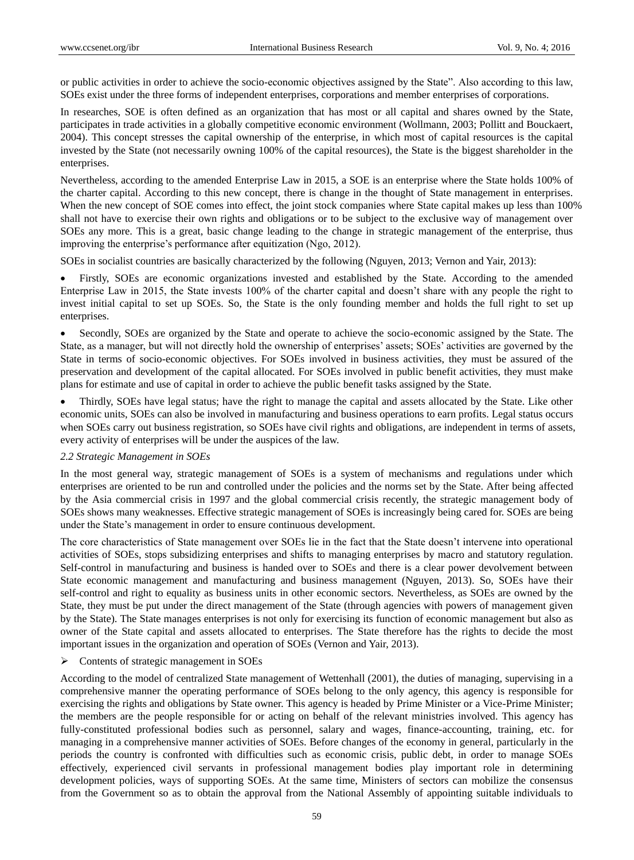or public activities in order to achieve the socio-economic objectives assigned by the State". Also according to this law, SOEs exist under the three forms of independent enterprises, corporations and member enterprises of corporations.

In researches, SOE is often defined as an organization that has most or all capital and shares owned by the State, participates in trade activities in a globally competitive economic environment (Wollmann, 2003; Pollitt and Bouckaert, 2004). This concept stresses the capital ownership of the enterprise, in which most of capital resources is the capital invested by the State (not necessarily owning 100% of the capital resources), the State is the biggest shareholder in the enterprises.

Nevertheless, according to the amended Enterprise Law in 2015, a SOE is an enterprise where the State holds 100% of the charter capital. According to this new concept, there is change in the thought of State management in enterprises. When the new concept of SOE comes into effect, the joint stock companies where State capital makes up less than 100% shall not have to exercise their own rights and obligations or to be subject to the exclusive way of management over SOEs any more. This is a great, basic change leading to the change in strategic management of the enterprise, thus improving the enterprise's performance after equitization (Ngo, 2012).

SOEs in socialist countries are basically characterized by the following (Nguyen, 2013; Vernon and Yair, 2013):

 Firstly, SOEs are economic organizations invested and established by the State. According to the amended Enterprise Law in 2015, the State invests 100% of the charter capital and doesn"t share with any people the right to invest initial capital to set up SOEs. So, the State is the only founding member and holds the full right to set up enterprises.

 Secondly, SOEs are organized by the State and operate to achieve the socio-economic assigned by the State. The State, as a manager, but will not directly hold the ownership of enterprises" assets; SOEs" activities are governed by the State in terms of socio-economic objectives. For SOEs involved in business activities, they must be assured of the preservation and development of the capital allocated. For SOEs involved in public benefit activities, they must make plans for estimate and use of capital in order to achieve the public benefit tasks assigned by the State.

 Thirdly, SOEs have legal status; have the right to manage the capital and assets allocated by the State. Like other economic units, SOEs can also be involved in manufacturing and business operations to earn profits. Legal status occurs when SOEs carry out business registration, so SOEs have civil rights and obligations, are independent in terms of assets, every activity of enterprises will be under the auspices of the law.

#### *2.2 Strategic Management in SOEs*

In the most general way, strategic management of SOEs is a system of mechanisms and regulations under which enterprises are oriented to be run and controlled under the policies and the norms set by the State. After being affected by the Asia commercial crisis in 1997 and the global commercial crisis recently, the strategic management body of SOEs shows many weaknesses. Effective strategic management of SOEs is increasingly being cared for. SOEs are being under the State"s management in order to ensure continuous development.

The core characteristics of State management over SOEs lie in the fact that the State doesn"t intervene into operational activities of SOEs, stops subsidizing enterprises and shifts to managing enterprises by macro and statutory regulation. Self-control in manufacturing and business is handed over to SOEs and there is a clear power devolvement between State economic management and manufacturing and business management (Nguyen, 2013). So, SOEs have their self-control and right to equality as business units in other economic sectors. Nevertheless, as SOEs are owned by the State, they must be put under the direct management of the State (through agencies with powers of management given by the State). The State manages enterprises is not only for exercising its function of economic management but also as owner of the State capital and assets allocated to enterprises. The State therefore has the rights to decide the most important issues in the organization and operation of SOEs (Vernon and Yair, 2013).

#### Contents of strategic management in SOEs

According to the model of centralized State management of Wettenhall (2001), the duties of managing, supervising in a comprehensive manner the operating performance of SOEs belong to the only agency, this agency is responsible for exercising the rights and obligations by State owner. This agency is headed by Prime Minister or a Vice-Prime Minister; the members are the people responsible for or acting on behalf of the relevant ministries involved. This agency has fully-constituted professional bodies such as personnel, salary and wages, finance-accounting, training, etc. for managing in a comprehensive manner activities of SOEs. Before changes of the economy in general, particularly in the periods the country is confronted with difficulties such as economic crisis, public debt, in order to manage SOEs effectively, experienced civil servants in professional management bodies play important role in determining development policies, ways of supporting SOEs. At the same time, Ministers of sectors can mobilize the consensus from the Government so as to obtain the approval from the National Assembly of appointing suitable individuals to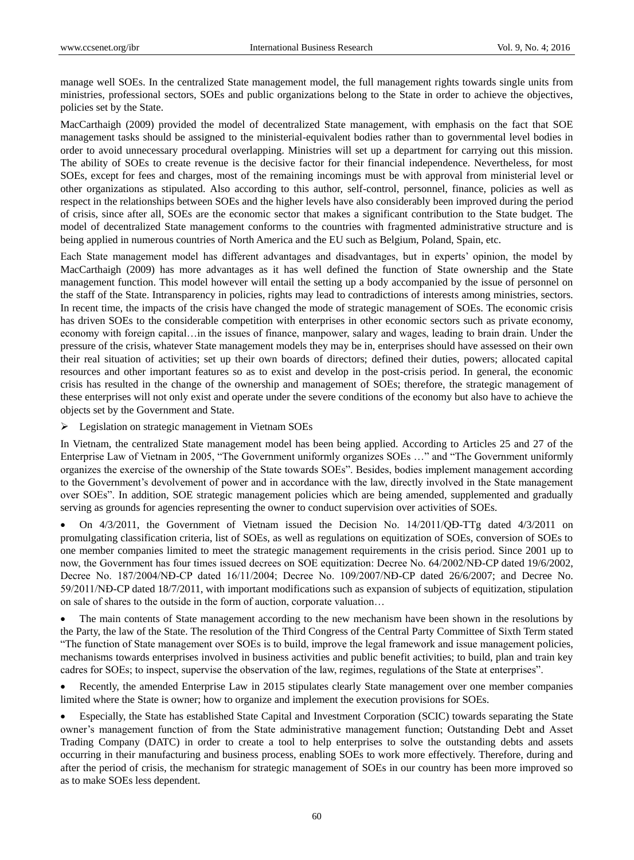manage well SOEs. In the centralized State management model, the full management rights towards single units from ministries, professional sectors, SOEs and public organizations belong to the State in order to achieve the objectives, policies set by the State.

MacCarthaigh (2009) provided the model of decentralized State management, with emphasis on the fact that SOE management tasks should be assigned to the ministerial-equivalent bodies rather than to governmental level bodies in order to avoid unnecessary procedural overlapping. Ministries will set up a department for carrying out this mission. The ability of SOEs to create revenue is the decisive factor for their financial independence. Nevertheless, for most SOEs, except for fees and charges, most of the remaining incomings must be with approval from ministerial level or other organizations as stipulated. Also according to this author, self-control, personnel, finance, policies as well as respect in the relationships between SOEs and the higher levels have also considerably been improved during the period of crisis, since after all, SOEs are the economic sector that makes a significant contribution to the State budget. The model of decentralized State management conforms to the countries with fragmented administrative structure and is being applied in numerous countries of North America and the EU such as Belgium, Poland, Spain, etc.

Each State management model has different advantages and disadvantages, but in experts" opinion, the model by MacCarthaigh (2009) has more advantages as it has well defined the function of State ownership and the State management function. This model however will entail the setting up a body accompanied by the issue of personnel on the staff of the State. Intransparency in policies, rights may lead to contradictions of interests among ministries, sectors. In recent time, the impacts of the crisis have changed the mode of strategic management of SOEs. The economic crisis has driven SOEs to the considerable competition with enterprises in other economic sectors such as private economy, economy with foreign capital…in the issues of finance, manpower, salary and wages, leading to brain drain. Under the pressure of the crisis, whatever State management models they may be in, enterprises should have assessed on their own their real situation of activities; set up their own boards of directors; defined their duties, powers; allocated capital resources and other important features so as to exist and develop in the post-crisis period. In general, the economic crisis has resulted in the change of the ownership and management of SOEs; therefore, the strategic management of these enterprises will not only exist and operate under the severe conditions of the economy but also have to achieve the objects set by the Government and State.

Legislation on strategic management in Vietnam SOEs

In Vietnam, the centralized State management model has been being applied. According to Articles 25 and 27 of the Enterprise Law of Vietnam in 2005, "The Government uniformly organizes SOEs …" and "The Government uniformly organizes the exercise of the ownership of the State towards SOEs". Besides, bodies implement management according to the Government"s devolvement of power and in accordance with the law, directly involved in the State management over SOEs". In addition, SOE strategic management policies which are being amended, supplemented and gradually serving as grounds for agencies representing the owner to conduct supervision over activities of SOEs.

• On  $4/3/2011$ , the Government of Vietnam issued the Decision No.  $14/2011/OD-TTg$  dated  $4/3/2011$  on promulgating classification criteria, list of SOEs, as well as regulations on equitization of SOEs, conversion of SOEs to one member companies limited to meet the strategic management requirements in the crisis period. Since 2001 up to now, the Government has four times issued decrees on SOE equitization: Decree No. 64/2002/NĐ-CP dated 19/6/2002, Decree No. 187/2004/NĐ-CP dated 16/11/2004; Decree No. 109/2007/NĐ-CP dated 26/6/2007; and Decree No. 59/2011/NĐ-CP dated 18/7/2011, with important modifications such as expansion of subjects of equitization, stipulation on sale of shares to the outside in the form of auction, corporate valuation…

 The main contents of State management according to the new mechanism have been shown in the resolutions by the Party, the law of the State. The resolution of the Third Congress of the Central Party Committee of Sixth Term stated "The function of State management over SOEs is to build, improve the legal framework and issue management policies, mechanisms towards enterprises involved in business activities and public benefit activities; to build, plan and train key cadres for SOEs; to inspect, supervise the observation of the law, regimes, regulations of the State at enterprises".

 Recently, the amended Enterprise Law in 2015 stipulates clearly State management over one member companies limited where the State is owner; how to organize and implement the execution provisions for SOEs.

 Especially, the State has established State Capital and Investment Corporation (SCIC) towards separating the State owner"s management function of from the State administrative management function; Outstanding Debt and Asset Trading Company (DATC) in order to create a tool to help enterprises to solve the outstanding debts and assets occurring in their manufacturing and business process, enabling SOEs to work more effectively. Therefore, during and after the period of crisis, the mechanism for strategic management of SOEs in our country has been more improved so as to make SOEs less dependent.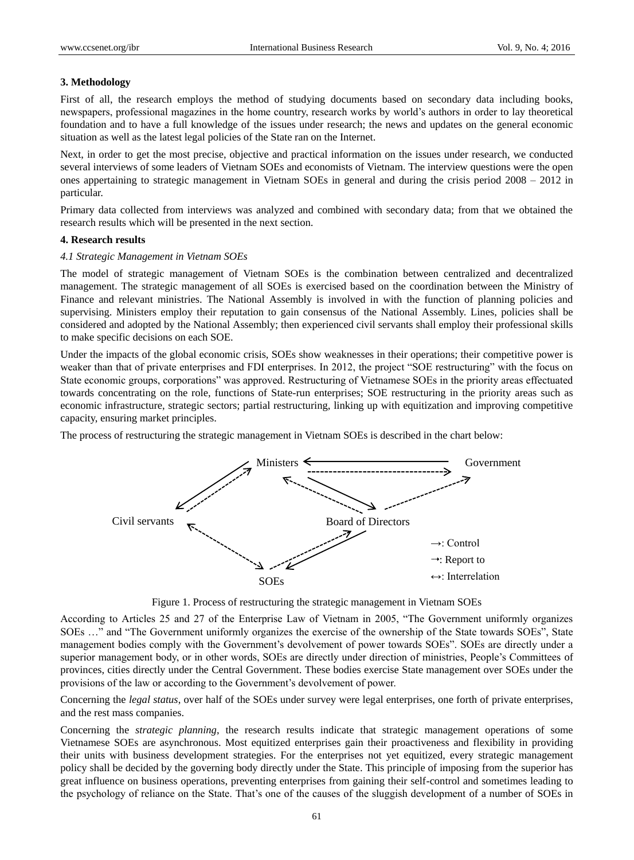## **3. Methodology**

First of all, the research employs the method of studying documents based on secondary data including books, newspapers, professional magazines in the home country, research works by world"s authors in order to lay theoretical foundation and to have a full knowledge of the issues under research; the news and updates on the general economic situation as well as the latest legal policies of the State ran on the Internet.

Next, in order to get the most precise, objective and practical information on the issues under research, we conducted several interviews of some leaders of Vietnam SOEs and economists of Vietnam. The interview questions were the open ones appertaining to strategic management in Vietnam SOEs in general and during the crisis period 2008 – 2012 in particular.

Primary data collected from interviews was analyzed and combined with secondary data; from that we obtained the research results which will be presented in the next section.

### **4. Research results**

### *4.1 Strategic Management in Vietnam SOEs*

The model of strategic management of Vietnam SOEs is the combination between centralized and decentralized management. The strategic management of all SOEs is exercised based on the coordination between the Ministry of Finance and relevant ministries. The National Assembly is involved in with the function of planning policies and supervising. Ministers employ their reputation to gain consensus of the National Assembly. Lines, policies shall be considered and adopted by the National Assembly; then experienced civil servants shall employ their professional skills to make specific decisions on each SOE.

Under the impacts of the global economic crisis, SOEs show weaknesses in their operations; their competitive power is weaker than that of private enterprises and FDI enterprises. In 2012, the project "SOE restructuring" with the focus on State economic groups, corporations" was approved. Restructuring of Vietnamese SOEs in the priority areas effectuated towards concentrating on the role, functions of State-run enterprises; SOE restructuring in the priority areas such as economic infrastructure, strategic sectors; partial restructuring, linking up with equitization and improving competitive capacity, ensuring market principles.

The process of restructuring the strategic management in Vietnam SOEs is described in the chart below:



Figure 1. Process of restructuring the strategic management in Vietnam SOEs

According to Articles 25 and 27 of the Enterprise Law of Vietnam in 2005, "The Government uniformly organizes SOEs …" and "The Government uniformly organizes the exercise of the ownership of the State towards SOEs", State management bodies comply with the Government"s devolvement of power towards SOEs". SOEs are directly under a superior management body, or in other words, SOEs are directly under direction of ministries, People's Committees of provinces, cities directly under the Central Government. These bodies exercise State management over SOEs under the provisions of the law or according to the Government's devolvement of power.

Concerning the *legal status*, over half of the SOEs under survey were legal enterprises, one forth of private enterprises, and the rest mass companies.

Concerning the *strategic planning*, the research results indicate that strategic management operations of some Vietnamese SOEs are asynchronous. Most equitized enterprises gain their proactiveness and flexibility in providing their units with business development strategies. For the enterprises not yet equitized, every strategic management policy shall be decided by the governing body directly under the State. This principle of imposing from the superior has great influence on business operations, preventing enterprises from gaining their self-control and sometimes leading to the psychology of reliance on the State. That"s one of the causes of the sluggish development of a number of SOEs in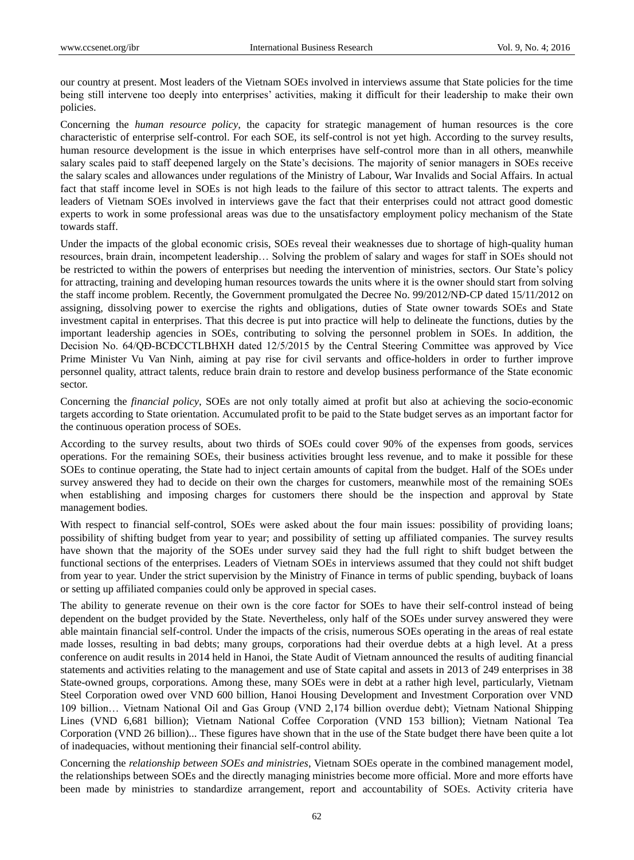our country at present. Most leaders of the Vietnam SOEs involved in interviews assume that State policies for the time being still intervene too deeply into enterprises" activities, making it difficult for their leadership to make their own policies.

Concerning the *human resource policy*, the capacity for strategic management of human resources is the core characteristic of enterprise self-control. For each SOE, its self-control is not yet high. According to the survey results, human resource development is the issue in which enterprises have self-control more than in all others, meanwhile salary scales paid to staff deepened largely on the State"s decisions. The majority of senior managers in SOEs receive the salary scales and allowances under regulations of the Ministry of Labour, War Invalids and Social Affairs. In actual fact that staff income level in SOEs is not high leads to the failure of this sector to attract talents. The experts and leaders of Vietnam SOEs involved in interviews gave the fact that their enterprises could not attract good domestic experts to work in some professional areas was due to the unsatisfactory employment policy mechanism of the State towards staff.

Under the impacts of the global economic crisis, SOEs reveal their weaknesses due to shortage of high-quality human resources, brain drain, incompetent leadership… Solving the problem of salary and wages for staff in SOEs should not be restricted to within the powers of enterprises but needing the intervention of ministries, sectors. Our State's policy for attracting, training and developing human resources towards the units where it is the owner should start from solving the staff income problem. Recently, the Government promulgated the Decree No. 99/2012/NĐ-CP dated 15/11/2012 on assigning, dissolving power to exercise the rights and obligations, duties of State owner towards SOEs and State investment capital in enterprises. That this decree is put into practice will help to delineate the functions, duties by the important leadership agencies in SOEs, contributing to solving the personnel problem in SOEs. In addition, the Decision No. 64/QĐ-BCĐCCTLBHXH dated 12/5/2015 by the Central Steering Committee was approved by Vice Prime Minister Vu Van Ninh, aiming at pay rise for civil servants and office-holders in order to further improve personnel quality, attract talents, reduce brain drain to restore and develop business performance of the State economic sector.

Concerning the *financial policy*, SOEs are not only totally aimed at profit but also at achieving the socio-economic targets according to State orientation. Accumulated profit to be paid to the State budget serves as an important factor for the continuous operation process of SOEs.

According to the survey results, about two thirds of SOEs could cover 90% of the expenses from goods, services operations. For the remaining SOEs, their business activities brought less revenue, and to make it possible for these SOEs to continue operating, the State had to inject certain amounts of capital from the budget. Half of the SOEs under survey answered they had to decide on their own the charges for customers, meanwhile most of the remaining SOEs when establishing and imposing charges for customers there should be the inspection and approval by State management bodies.

With respect to financial self-control, SOEs were asked about the four main issues: possibility of providing loans; possibility of shifting budget from year to year; and possibility of setting up affiliated companies. The survey results have shown that the majority of the SOEs under survey said they had the full right to shift budget between the functional sections of the enterprises. Leaders of Vietnam SOEs in interviews assumed that they could not shift budget from year to year. Under the strict supervision by the Ministry of Finance in terms of public spending, buyback of loans or setting up affiliated companies could only be approved in special cases.

The ability to generate revenue on their own is the core factor for SOEs to have their self-control instead of being dependent on the budget provided by the State. Nevertheless, only half of the SOEs under survey answered they were able maintain financial self-control. Under the impacts of the crisis, numerous SOEs operating in the areas of real estate made losses, resulting in bad debts; many groups, corporations had their overdue debts at a high level. At a press conference on audit results in 2014 held in Hanoi, the State Audit of Vietnam announced the results of auditing financial statements and activities relating to the management and use of State capital and assets in 2013 of 249 enterprises in 38 State-owned groups, corporations. Among these, many SOEs were in debt at a rather high level, particularly, Vietnam Steel Corporation owed over VND 600 billion, Hanoi Housing Development and Investment Corporation over VND 109 billion… Vietnam National Oil and Gas Group (VND 2,174 billion overdue debt); Vietnam National Shipping Lines (VND 6,681 billion); Vietnam National Coffee Corporation (VND 153 billion); Vietnam National Tea Corporation (VND 26 billion)... These figures have shown that in the use of the State budget there have been quite a lot of inadequacies, without mentioning their financial self-control ability.

Concerning the *relationship between SOEs and ministries*, Vietnam SOEs operate in the combined management model, the relationships between SOEs and the directly managing ministries become more official. More and more efforts have been made by ministries to standardize arrangement, report and accountability of SOEs. Activity criteria have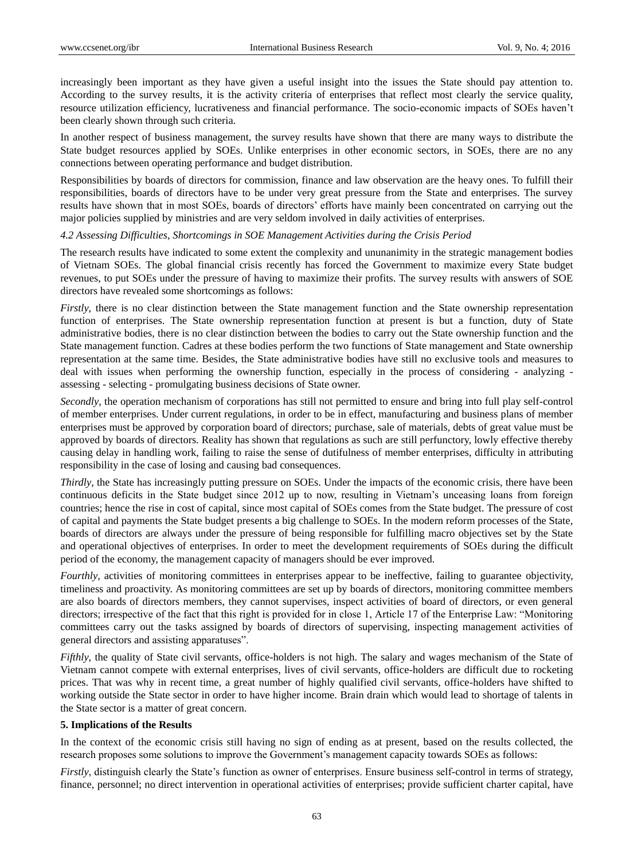increasingly been important as they have given a useful insight into the issues the State should pay attention to. According to the survey results, it is the activity criteria of enterprises that reflect most clearly the service quality, resource utilization efficiency, lucrativeness and financial performance. The socio-economic impacts of SOEs haven"t been clearly shown through such criteria.

In another respect of business management, the survey results have shown that there are many ways to distribute the State budget resources applied by SOEs. Unlike enterprises in other economic sectors, in SOEs, there are no any connections between operating performance and budget distribution.

Responsibilities by boards of directors for commission, finance and law observation are the heavy ones. To fulfill their responsibilities, boards of directors have to be under very great pressure from the State and enterprises. The survey results have shown that in most SOEs, boards of directors" efforts have mainly been concentrated on carrying out the major policies supplied by ministries and are very seldom involved in daily activities of enterprises.

#### *4.2 Assessing Difficulties, Shortcomings in SOE Management Activities during the Crisis Period*

The research results have indicated to some extent the complexity and ununanimity in the strategic management bodies of Vietnam SOEs. The global financial crisis recently has forced the Government to maximize every State budget revenues, to put SOEs under the pressure of having to maximize their profits. The survey results with answers of SOE directors have revealed some shortcomings as follows:

*Firstly*, there is no clear distinction between the State management function and the State ownership representation function of enterprises. The State ownership representation function at present is but a function, duty of State administrative bodies, there is no clear distinction between the bodies to carry out the State ownership function and the State management function. Cadres at these bodies perform the two functions of State management and State ownership representation at the same time. Besides, the State administrative bodies have still no exclusive tools and measures to deal with issues when performing the ownership function, especially in the process of considering - analyzing assessing - selecting - promulgating business decisions of State owner.

*Secondly*, the operation mechanism of corporations has still not permitted to ensure and bring into full play self-control of member enterprises. Under current regulations, in order to be in effect, manufacturing and business plans of member enterprises must be approved by corporation board of directors; purchase, sale of materials, debts of great value must be approved by boards of directors. Reality has shown that regulations as such are still perfunctory, lowly effective thereby causing delay in handling work, failing to raise the sense of dutifulness of member enterprises, difficulty in attributing responsibility in the case of losing and causing bad consequences.

*Thirdly*, the State has increasingly putting pressure on SOEs. Under the impacts of the economic crisis, there have been continuous deficits in the State budget since 2012 up to now, resulting in Vietnam"s unceasing loans from foreign countries; hence the rise in cost of capital, since most capital of SOEs comes from the State budget. The pressure of cost of capital and payments the State budget presents a big challenge to SOEs. In the modern reform processes of the State, boards of directors are always under the pressure of being responsible for fulfilling macro objectives set by the State and operational objectives of enterprises. In order to meet the development requirements of SOEs during the difficult period of the economy, the management capacity of managers should be ever improved.

*Fourthly*, activities of monitoring committees in enterprises appear to be ineffective, failing to guarantee objectivity, timeliness and proactivity. As monitoring committees are set up by boards of directors, monitoring committee members are also boards of directors members, they cannot supervises, inspect activities of board of directors, or even general directors; irrespective of the fact that this right is provided for in close 1, Article 17 of the Enterprise Law: "Monitoring committees carry out the tasks assigned by boards of directors of supervising, inspecting management activities of general directors and assisting apparatuses".

*Fifthly*, the quality of State civil servants, office-holders is not high. The salary and wages mechanism of the State of Vietnam cannot compete with external enterprises, lives of civil servants, office-holders are difficult due to rocketing prices. That was why in recent time, a great number of highly qualified civil servants, office-holders have shifted to working outside the State sector in order to have higher income. Brain drain which would lead to shortage of talents in the State sector is a matter of great concern.

#### **5. Implications of the Results**

In the context of the economic crisis still having no sign of ending as at present, based on the results collected, the research proposes some solutions to improve the Government's management capacity towards SOEs as follows:

*Firstly*, distinguish clearly the State's function as owner of enterprises. Ensure business self-control in terms of strategy, finance, personnel; no direct intervention in operational activities of enterprises; provide sufficient charter capital, have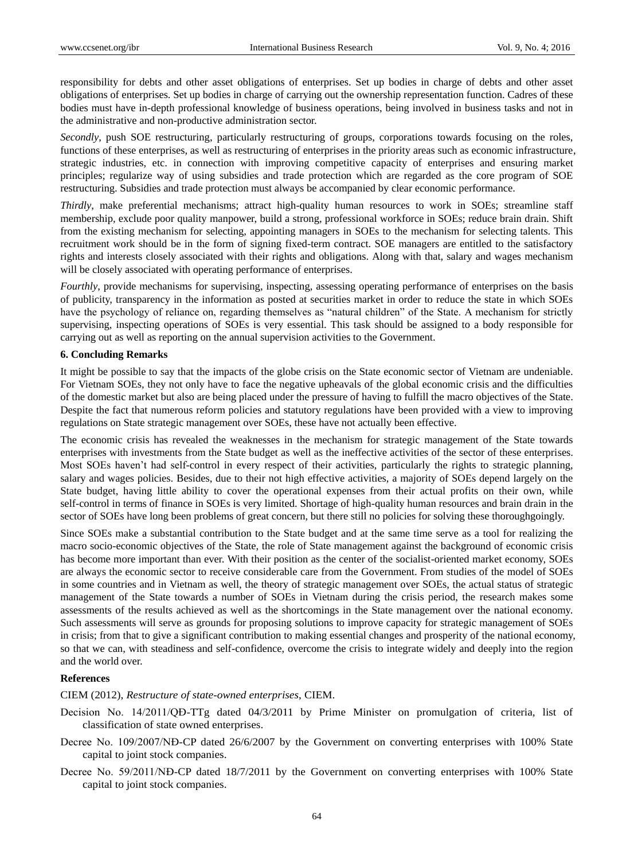responsibility for debts and other asset obligations of enterprises. Set up bodies in charge of debts and other asset obligations of enterprises. Set up bodies in charge of carrying out the ownership representation function. Cadres of these bodies must have in-depth professional knowledge of business operations, being involved in business tasks and not in the administrative and non-productive administration sector.

*Secondly*, push SOE restructuring, particularly restructuring of groups, corporations towards focusing on the roles, functions of these enterprises, as well as restructuring of enterprises in the priority areas such as economic infrastructure, strategic industries, etc. in connection with improving competitive capacity of enterprises and ensuring market principles; regularize way of using subsidies and trade protection which are regarded as the core program of SOE restructuring. Subsidies and trade protection must always be accompanied by clear economic performance.

*Thirdly*, make preferential mechanisms; attract high-quality human resources to work in SOEs; streamline staff membership, exclude poor quality manpower, build a strong, professional workforce in SOEs; reduce brain drain. Shift from the existing mechanism for selecting, appointing managers in SOEs to the mechanism for selecting talents. This recruitment work should be in the form of signing fixed-term contract. SOE managers are entitled to the satisfactory rights and interests closely associated with their rights and obligations. Along with that, salary and wages mechanism will be closely associated with operating performance of enterprises.

*Fourthly*, provide mechanisms for supervising, inspecting, assessing operating performance of enterprises on the basis of publicity, transparency in the information as posted at securities market in order to reduce the state in which SOEs have the psychology of reliance on, regarding themselves as "natural children" of the State. A mechanism for strictly supervising, inspecting operations of SOEs is very essential. This task should be assigned to a body responsible for carrying out as well as reporting on the annual supervision activities to the Government.

#### **6. Concluding Remarks**

It might be possible to say that the impacts of the globe crisis on the State economic sector of Vietnam are undeniable. For Vietnam SOEs, they not only have to face the negative upheavals of the global economic crisis and the difficulties of the domestic market but also are being placed under the pressure of having to fulfill the macro objectives of the State. Despite the fact that numerous reform policies and statutory regulations have been provided with a view to improving regulations on State strategic management over SOEs, these have not actually been effective.

The economic crisis has revealed the weaknesses in the mechanism for strategic management of the State towards enterprises with investments from the State budget as well as the ineffective activities of the sector of these enterprises. Most SOEs haven"t had self-control in every respect of their activities, particularly the rights to strategic planning, salary and wages policies. Besides, due to their not high effective activities, a majority of SOEs depend largely on the State budget, having little ability to cover the operational expenses from their actual profits on their own, while self-control in terms of finance in SOEs is very limited. Shortage of high-quality human resources and brain drain in the sector of SOEs have long been problems of great concern, but there still no policies for solving these thoroughgoingly.

Since SOEs make a substantial contribution to the State budget and at the same time serve as a tool for realizing the macro socio-economic objectives of the State, the role of State management against the background of economic crisis has become more important than ever. With their position as the center of the socialist-oriented market economy, SOEs are always the economic sector to receive considerable care from the Government. From studies of the model of SOEs in some countries and in Vietnam as well, the theory of strategic management over SOEs, the actual status of strategic management of the State towards a number of SOEs in Vietnam during the crisis period, the research makes some assessments of the results achieved as well as the shortcomings in the State management over the national economy. Such assessments will serve as grounds for proposing solutions to improve capacity for strategic management of SOEs in crisis; from that to give a significant contribution to making essential changes and prosperity of the national economy, so that we can, with steadiness and self-confidence, overcome the crisis to integrate widely and deeply into the region and the world over.

#### **References**

CIEM (2012), *Restructure of state-owned enterprises*, CIEM.

- Decision No. 14/2011/QĐ-TTg dated 04/3/2011 by Prime Minister on promulgation of criteria, list of classification of state owned enterprises.
- Decree No. 109/2007/NĐ-CP dated 26/6/2007 by the Government on converting enterprises with 100% State capital to joint stock companies.
- Decree No. 59/2011/NĐ-CP dated 18/7/2011 by the Government on converting enterprises with 100% State capital to joint stock companies.